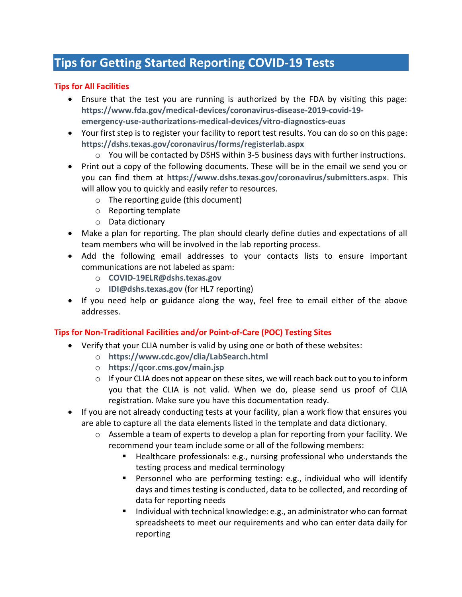## **Tips for Getting Started Reporting COVID-19 Tests**

## **Tips for All Facilities**

- Ensure that the test you are running is authorized by the FDA by visiting this page: **[https://www.fda.gov/medical-devices/coronavirus-disease-2019-covid-19](https://www.fda.gov/medical-devices/coronavirus-disease-2019-covid-19-emergency-use-authorizations-medical-devices/vitro-diagnostics-euas) [emergency-use-authorizations-medical-devices/vitro-diagnostics-euas](https://www.fda.gov/medical-devices/coronavirus-disease-2019-covid-19-emergency-use-authorizations-medical-devices/vitro-diagnostics-euas)**
- Your first step is to register your facility to report test results. You can do so on this page: **<https://dshs.texas.gov/coronavirus/forms/registerlab.aspx>**
	- $\circ$  You will be contacted by DSHS within 3-5 business days with further instructions.
- Print out a copy of the following documents. These will be in the email we send you or you can find them at **<https://www.dshs.texas.gov/coronavirus/submitters.aspx>**. This will allow you to quickly and easily refer to resources.
	- o The reporting guide (this document)
	- o Reporting template
	- o Data dictionary
- Make a plan for reporting. The plan should clearly define duties and expectations of all team members who will be involved in the lab reporting process.
- Add the following email addresses to your contacts lists to ensure important communications are not labeled as spam:
	- o **[COVID-19ELR@dshs.texas.gov](mailto:COVID-19ELR@dshs.texas.gov)**
	- o **[IDI@dshs.texas.gov](mailto:IDI@dshs.texas.gov)** (for HL7 reporting)
- If you need help or guidance along the way, feel free to email either of the above addresses.

## **Tips for Non-Traditional Facilities and/or Point-of-Care (POC) Testing Sites**

- Verify that your CLIA number is valid by using one or both of these websites:
	- o **<https://www.cdc.gov/clia/LabSearch.html>**
	- o **<https://qcor.cms.gov/main.jsp>**
	- $\circ$  If your CLIA does not appear on these sites, we will reach back out to you to inform you that the CLIA is not valid. When we do, please send us proof of CLIA registration. Make sure you have this documentation ready.
- If you are not already conducting tests at your facility, plan a work flow that ensures you are able to capture all the data elements listed in the template and data dictionary.
	- $\circ$  Assemble a team of experts to develop a plan for reporting from your facility. We recommend your team include some or all of the following members:
		- Healthcare professionals: e.g., nursing professional who understands the testing process and medical terminology
		- Personnel who are performing testing: e.g., individual who will identify days and times testing is conducted, data to be collected, and recording of data for reporting needs
		- Individual with technical knowledge: e.g., an administrator who can format spreadsheets to meet our requirements and who can enter data daily for reporting